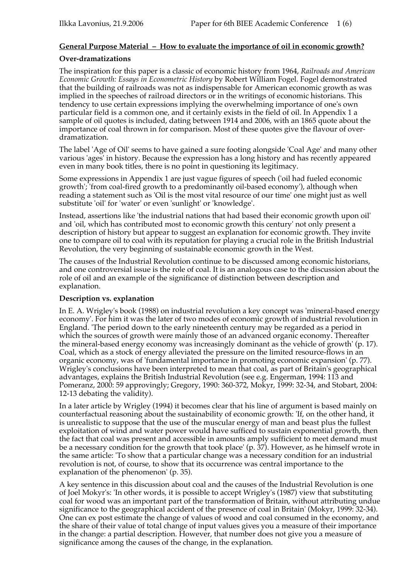# **General Purpose Material – How to evaluate the importance of oil in economic growth?**

## **Over-dramatizations**

The inspiration for this paper is a classic of economic history from 1964, *Railroads and American Economic Growth: Essays in Econometric History* by Robert William Fogel. Fogel demonstrated that the building of railroads was not as indispensable for American economic growth as was implied in the speeches of railroad directors or in the writings of economic historians. This tendency to use certain expressions implying the overwhelming importance of one's own particular field is a common one, and it certainly exists in the field of oil. In Appendix 1 a sample of oil quotes is included, dating between 1914 and 2006, with an 1865 quote about the importance of coal thrown in for comparison. Most of these quotes give the flavour of overdramatization.

The label 'Age of Oil' seems to have gained a sure footing alongside 'Coal Age' and many other various 'ages' in history. Because the expression has a long history and has recently appeared even in many book titles, there is no point in questioning its legitimacy.

Some expressions in Appendix 1 are just vague figures of speech ('oil had fueled economic growth'; 'from coal-fired growth to a predominantly oil-based economy'), although when reading a statement such as 'Oil is the most vital resource of our time' one might just as well substitute 'oil' for 'water' or even 'sunlight' or 'knowledge'.

Instead, assertions like 'the industrial nations that had based their economic growth upon oil' and 'oil, which has contributed most to economic growth this century' not only present a description of history but appear to suggest an explanation for economic growth. They invite one to compare oil to coal with its reputation for playing a crucial role in the British Industrial Revolution, the very beginning of sustainable economic growth in the West.

The causes of the Industrial Revolution continue to be discussed among economic historians, and one controversial issue is the role of coal. It is an analogous case to the discussion about the role of oil and an example of the significance of distinction between description and explanation.

## **Description vs. explanation**

In E. A. Wrigley's book (1988) on industrial revolution a key concept was 'mineral-based energy economy'. For him it was the later of two modes of economic growth of industrial revolution in England. 'The period down to the early nineteenth century may be regarded as a period in which the sources of growth were mainly those of an advanced organic economy. Thereafter the mineral-based energy economy was increasingly dominant as the vehicle of growth' (p. 17). Coal, which as a stock of energy alleviated the pressure on the limited resource-flows in an organic economy, was of 'fundamental importance in promoting economic expansion' (p. 77). Wrigley's conclusions have been interpreted to mean that coal, as part of Britain's geographical advantages, explains the British Industrial Revolution (see e.g. Engerman, 1994: 113 and Pomeranz, 2000: 59 approvingly; Gregory, 1990: 360-372, Mokyr, 1999: 32-34, and Stobart, 2004: 12-13 debating the validity).

In a later article by Wrigley (1994) it becomes clear that his line of argument is based mainly on counterfactual reasoning about the sustainability of economic growth: 'If, on the other hand, it is unrealistic to suppose that the use of the muscular energy of man and beast plus the fullest exploitation of wind and water power would have sufficed to sustain exponential growth, then the fact that coal was present and accessible in amounts amply sufficient to meet demand must be a necessary condition for the growth that took place' (p. 37). However, as he himself wrote in the same article: 'To show that a particular change was a necessary condition for an industrial revolution is not, of course, to show that its occurrence was central importance to the explanation of the phenomenon' (p. 35).

A key sentence in this discussion about coal and the causes of the Industrial Revolution is one of Joel Mokyr's: 'In other words, it is possible to accept Wrigley's (1987) view that substituting coal for wood was an important part of the transformation of Britain, without attributing undue significance to the geographical accident of the presence of coal in Britain' (Mokyr, 1999: 32-34). One can ex post estimate the change of values of wood and coal consumed in the economy, and the share of their value of total change of input values gives you a measure of their importance in the change: a partial description. However, that number does not give you a measure of significance among the causes of the change, in the explanation.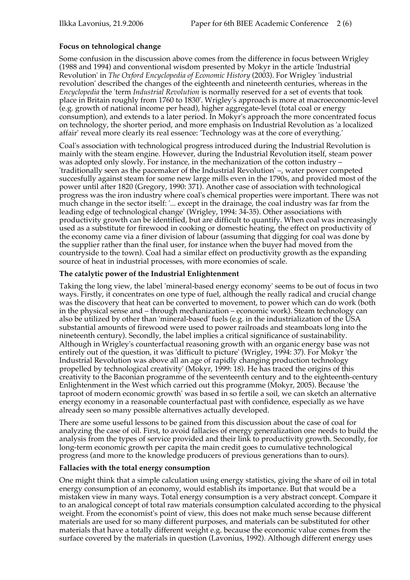## **Focus on tehnological change**

Some confusion in the discussion above comes from the difference in focus between Wrigley (1988 and 1994) and conventional wisdom presented by Mokyr in the article 'Industrial Revolution' in *The Oxford Encyclopedia of Economic History* (2003). For Wrigley 'industrial revolution' described the changes of the eighteenth and nineteenth centuries, whereas in the *Encyclopedia* the 'term *Industrial Revolution* is normally reserved for a set of events that took place in Britain roughly from 1760 to 1830'. Wrigley's approach is more at macroeconomic-level (e.g. growth of national income per head), higher aggregate-level (total coal or energy consumption), and extends to a later period. In Mokyr's approach the more concentrated focus on technology, the shorter period, and more emphasis on Industrial Revolution as 'a localized affair' reveal more clearly its real essence: 'Technology was at the core of everything.'

Coal's association with technological progress introduced during the Industrial Revolution is mainly with the steam engine. However, during the Industrial Revolution itself, steam power was adopted only slowly. For instance, in the mechanization of the cotton industry – 'traditionally seen as the pacemaker of the Industrial Revolution' –, water power competed succesfully against steam for some new large mills even in the 1790s, and provided most of the power until after 1820 (Gregory, 1990: 371). Another case of association with technological progress was the iron industry where coal's chemical properties were important. There was not much change in the sector itself: '... except in the drainage, the coal industry was far from the leading edge of technological change' (Wrigley, 1994: 34-35). Other associations with productivity growth can be identified, but are difficult to quantify. When coal was increasingly used as a substitute for firewood in cooking or domestic heating, the effect on productivity of the economy came via a finer division of labour (assuming that digging for coal was done by the supplier rather than the final user, for instance when the buyer had moved from the countryside to the town). Coal had a similar effect on productivity growth as the expanding source of heat in industrial processes, with more economies of scale.

## **The catalytic power of the Industrial Enlightenment**

Taking the long view, the label 'mineral-based energy economy' seems to be out of focus in two ways. Firstly, it concentrates on one type of fuel, although the really radical and crucial change was the discovery that heat can be converted to movement, to power which can do work (both in the physical sense and – through mechanization – economic work). Steam technology can also be utilized by other than 'mineral-based' fuels (e.g. in the industrialization of the USA substantial amounts of firewood were used to power railroads and steamboats long into the nineteenth century). Secondly, the label implies a critical significance of sustainability. Although in Wrigley's counterfactual reasoning growth with an organic energy base was not entirely out of the question, it was 'difficult to picture' (Wrigley, 1994: 37). For Mokyr 'the Industrial Revolution was above all an age of rapidly changing production technology propelled by technological creativity' (Mokyr, 1999: 18). He has traced the origins of this creativity to the Baconian programme of the seventeenth century and to the eighteenth-century Enlightenment in the West which carried out this programme (Mokyr, 2005). Because 'the taproot of modern economic growth' was based in so fertile a soil, we can sketch an alternative energy economy in a reasonable counterfactual past with confidence, especially as we have already seen so many possible alternatives actually developed.

There are some useful lessons to be gained from this discussion about the case of coal for analyzing the case of oil. First, to avoid fallacies of energy generalization one needs to build the analysis from the types of service provided and their link to productivity growth. Secondly, for long-term economic growth per capita the main credit goes to cumulative technological progress (and more to the knowledge producers of previous generations than to ours).

#### **Fallacies with the total energy consumption**

One might think that a simple calculation using energy statistics, giving the share of oil in total energy consumption of an economy, would establish its importance. But that would be a mistaken view in many ways. Total energy consumption is a very abstract concept. Compare it to an analogical concept of total raw materials consumption calculated according to the physical weight. From the economist's point of view, this does not make much sense because different materials are used for so many different purposes, and materials can be substituted for other materials that have a totally different weight e.g. because the economic value comes from the surface covered by the materials in question (Lavonius, 1992). Although different energy uses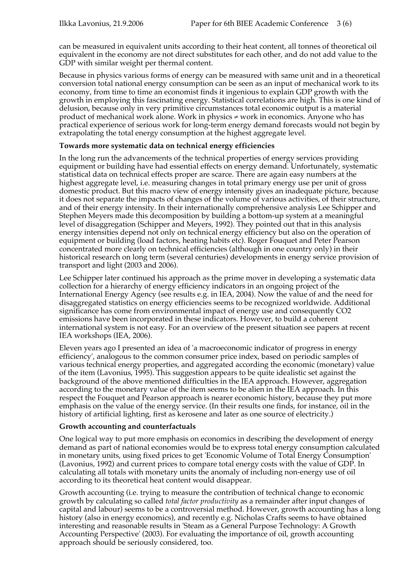can be measured in equivalent units according to their heat content, all tonnes of theoretical oil equivalent in the economy are not direct substitutes for each other, and do not add value to the GDP with similar weight per thermal content.

Because in physics various forms of energy can be measured with same unit and in a theoretical conversion total national energy consumption can be seen as an input of mechanical work to its economy, from time to time an economist finds it ingenious to explain GDP growth with the growth in employing this fascinating energy. Statistical correlations are high. This is one kind of delusion, because only in very primitive circumstances total economic output is a material product of mechanical work alone. Work in physics  $\neq$  work in economics. Anyone who has practical experience of serious work for long-term energy demand forecasts would not begin by extrapolating the total energy consumption at the highest aggregate level.

#### **Towards more systematic data on technical energy efficiencies**

In the long run the advancements of the technical properties of energy services providing equipment or building have had essential effects on energy demand. Unfortunately, systematic statistical data on technical effects proper are scarce. There are again easy numbers at the highest aggregate level, i.e. measuring changes in total primary energy use per unit of gross domestic product. But this macro view of energy intensity gives an inadequate picture, because it does not separate the impacts of changes of the volume of various activities, of their structure, and of their energy intensity. In their internationally comprehensive analysis Lee Schipper and Stephen Meyers made this decomposition by building a bottom-up system at a meaningful level of disaggregation (Schipper and Meyers, 1992). They pointed out that in this analysis energy intensities depend not only on technical energy efficiency but also on the operation of equipment or building (load factors, heating habits etc). Roger Fouquet and Peter Pearson concentrated more clearly on technical efficiencies (although in one country only) in their historical research on long term (several centuries) developments in energy service provision of transport and light (2003 and 2006).

Lee Schipper later continued his approach as the prime mover in developing a systematic data collection for a hierarchy of energy efficiency indicators in an ongoing project of the International Energy Agency (see results e.g. in IEA, 2004). Now the value of and the need for disaggregated statistics on energy efficiencies seems to be recognized worldwide. Additional significance has come from environmental impact of energy use and consequently CO2 emissions have been incorporated in these indicators. However, to build a coherent international system is not easy. For an overview of the present situation see papers at recent IEA workshops (IEA, 2006).

Eleven years ago I presented an idea of 'a macroeconomic indicator of progress in energy efficiency', analogous to the common consumer price index, based on periodic samples of various technical energy properties, and aggregated according the economic (monetary) value of the item (Lavonius, 1995). This suggestion appears to be quite idealistic set against the background of the above mentioned difficulties in the IEA approach. However, aggregation according to the monetary value of the item seems to be alien in the IEA approach. In this respect the Fouquet and Pearson approach is nearer economic history, because they put more emphasis on the value of the energy service. (In their results one finds, for instance, oil in the history of artificial lighting, first as kerosene and later as one source of electricity.)

#### **Growth accounting and counterfactuals**

One logical way to put more emphasis on economics in describing the development of energy demand as part of national economies would be to express total energy consumption calculated in monetary units, using fixed prices to get 'Economic Volume of Total Energy Consumption' (Lavonius, 1992) and current prices to compare total energy costs with the value of GDP. In calculating all totals with monetary units the anomaly of including non-energy use of oil according to its theoretical heat content would disappear.

Growth accounting (i.e. trying to measure the contribution of technical change to economic growth by calculating so called *total factor productivity* as a remainder after input changes of capital and labour) seems to be a controversial method. However, growth accounting has a long history (also in energy economics), and recently e.g. Nicholas Crafts seems to have obtained interesting and reasonable results in 'Steam as a General Purpose Technology: A Growth Accounting Perspective' (2003). For evaluating the importance of oil, growth accounting approach should be seriously considered, too.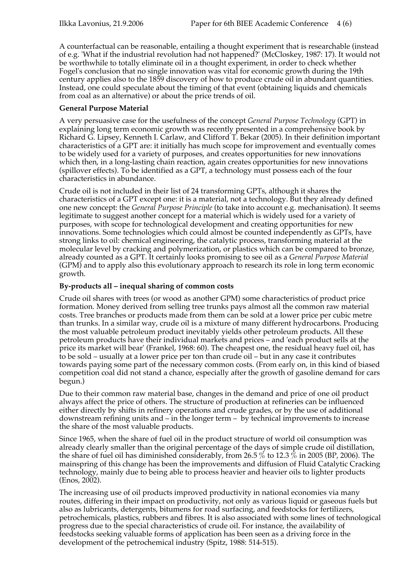A counterfactual can be reasonable, entailing a thought experiment that is researchable (instead of e.g. 'What if the industrial revolution had not happened?' (McCloskey, 1987: 17). It would not be worthwhile to totally eliminate oil in a thought experiment, in order to check whether Fogel's conclusion that no single innovation was vital for economic growth during the 19th century applies also to the 1859 discovery of how to produce crude oil in abundant quantities. Instead, one could speculate about the timing of that event (obtaining liquids and chemicals from coal as an alternative) or about the price trends of oil.

## **General Purpose Material**

A very persuasive case for the usefulness of the concept *General Purpose Technology* (GPT) in explaining long term economic growth was recently presented in a comprehensive book by Richard G. Lipsey, Kenneth I. Carlaw, and Clifford T. Bekar (2005). In their definition important characteristics of a GPT are: it initially has much scope for improvement and eventually comes to be widely used for a variety of purposes, and creates opportunities for new innovations which then, in a long-lasting chain reaction, again creates opportunities for new innovations (spillover effects). To be identified as a GPT, a technology must possess each of the four characteristics in abundance.

Crude oil is not included in their list of 24 transforming GPTs, although it shares the characteristics of a GPT except one: it is a material, not a technology. But they already defined one new concept: the *General Purpose Principle* (to take into account e.g. mechanisation). It seems legitimate to suggest another concept for a material which is widely used for a variety of purposes, with scope for technological development and creating opportunities for new innovations. Some technologies which could almost be counted independently as GPTs, have strong links to oil: chemical engineering, the catalytic process, transforming material at the molecular level by cracking and polymerization, or plastics which can be compared to bronze, already counted as a GPT. It certainly looks promising to see oil as a *General Purpose Material* (GPM) and to apply also this evolutionary approach to research its role in long term economic growth.

## **By-products all – inequal sharing of common costs**

Crude oil shares with trees (or wood as another GPM) some characteristics of product price formation. Money derived from selling tree trunks pays almost all the common raw material costs. Tree branches or products made from them can be sold at a lower price per cubic metre than trunks. In a similar way, crude oil is a mixture of many different hydrocarbons. Producing the most valuable petroleum product inevitably yields other petroleum products. All these petroleum products have their individual markets and prices – and 'each product sells at the price its market will bear' (Frankel, 1968: 60). The cheapest one, the residual heavy fuel oil, has to be sold – usually at a lower price per ton than crude oil – but in any case it contributes towards paying some part of the necessary common costs. (From early on, in this kind of biased competition coal did not stand a chance, especially after the growth of gasoline demand for cars begun.)

Due to their common raw material base, changes in the demand and price of one oil product always affect the price of others. The structure of production at refineries can be influenced either directly by shifts in refinery operations and crude grades, or by the use of additional downstream refining units and – in the longer term – by technical improvements to increase the share of the most valuable products.

Since 1965, when the share of fuel oil in the product structure of world oil consumption was already clearly smaller than the original percentage of the days of simple crude oil distillation, the share of fuel oil has diminished considerably, from 26.5  $\%$  to 12.3  $\%$  in 2005 (BP, 2006). The mainspring of this change has been the improvements and diffusion of Fluid Catalytic Cracking technology, mainly due to being able to process heavier and heavier oils to lighter products  $(Enos, 2002).$ 

The increasing use of oil products improved productivity in national economies via many routes, differing in their impact on productivity, not only as various liquid or gaseous fuels but also as lubricants, detergents, bitumens for road surfacing, and feedstocks for fertilizers, petrochemicals, plastics, rubbers and fibres. It is also associated with some lines of technological progress due to the special characteristics of crude oil. For instance, the availability of feedstocks seeking valuable forms of application has been seen as a driving force in the development of the petrochemical industry (Spitz, 1988: 514-515).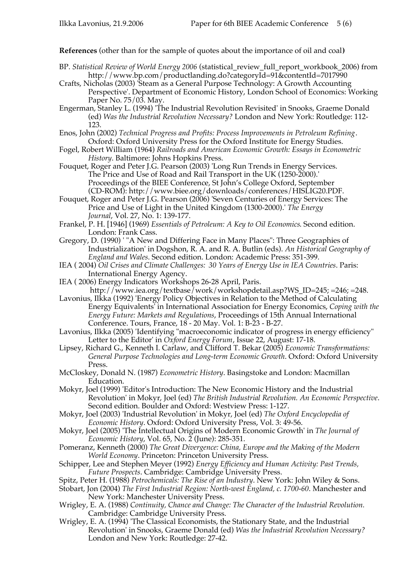**References** (other than for the sample of quotes about the importance of oil and coal**)**

- BP. *Statistical Review of World Energy 2006* (statistical\_review\_full\_report\_workbook\_2006) from http://www.bp.com/productlanding.do?categoryId=91&contentId=7017990
- Crafts, Nicholas (2003) 'Steam as a General Purpose Technology: A Growth Accounting Perspective'. Department of Economic History, London School of Economics: Working Paper No. 75/03. May.
- Engerman, Stanley L. (1994) 'The Industrial Revolution Revisited' in Snooks, Graeme Donald (ed) *Was the Industrial Revolution Necessary?* London and New York: Routledge: 112- 123.
- Enos, John (2002) *Technical Progress and Profits: Process Improvements in Petroleum Refining*. Oxford: Oxford University Press for the Oxford Institute for Energy Studies.
- Fogel, Robert William (1964) *Railroads and American Economic Growth: Essays in Econometric History*. Baltimore: Johns Hopkins Press.
- Fouquet, Roger and Peter J.G. Pearson (2003) 'Long Run Trends in Energy Services. The Price and Use of Road and Rail Transport in the UK (1250-2000).' Proceedings of the BIEE Conference, St John's College Oxford, September (CD-ROM): http://www.biee.org/downloads/conferences/HISLIG20.PDF.
- Fouquet, Roger and Peter J.G. Pearson (2006) 'Seven Centuries of Energy Services: The Price and Use of Light in the United Kingdom (1300-2000).' *The Energy Journal*, Vol. 27, No. 1: 139-177.
- Frankel, P. H. [1946] (1969) *Essentials of Petroleum: A Key to Oil Economics*. Second edition. London: Frank Cass.
- Gregory, D. (1990) ' "A New and Differing Face in Many Places": Three Geographies of Industrialization' in Dogshon, R. A. and R. A. Butlin (eds). *An Historical Geography of England and Wales*. Second edition. London: Academic Press: 351-399.
- IEA ( 2004) *Oil Crises and Climate Challenges: 30 Years of Energy Use in IEA Countries*. Paris: International Energy Agency.
- IEA ( 2006) Energy Indicators Workshops 26-28 April, Paris. http://www.iea.org/textbase/work/workshopdetail.asp?WS\_ID=245; =246; =248.
- Lavonius, Ilkka (1992) 'Energy Policy Objectives in Relation to the Method of Calculating Energy Equivalents' in International Association for Energy Economics, *Coping with the Energy Future: Markets and Regulations*, Proceedings of 15th Annual International Conference. Tours, France, 18 - 20 May. Vol. 1: B-23 - B-27.
- Lavonius, Ilkka (2005) 'Identifying "macroeconomic indicator of progress in energy efficiency" Letter to the Editor' in *Oxford Energy Forum*, Issue 22, August: 17-18.
- Lipsey, Richard G., Kenneth I. Carlaw, and Clifford T. Bekar (2005) *Economic Transformations: General Purpose Technologies and Long-term Economic Growth*. Oxford: Oxford University Press.
- McCloskey, Donald N. (1987) *Econometric History*. Basingstoke and London: Macmillan Education.
- Mokyr, Joel (1999) 'Editor's Introduction: The New Economic History and the Industrial Revolution' in Mokyr, Joel (ed) *The British Industrial Revolution. An Economic Perspective*. Second edition. Boulder and Oxford: Westview Press: 1-127.
- Mokyr, Joel (2003) 'Industrial Revolution' in Mokyr, Joel (ed) *The Oxford Encyclopedia of Economic History*. Oxford: Oxford University Press, Vol. 3: 49-56.
- Mokyr, Joel (2005) 'The Intellectual Origins of Modern Economic Growth' in *The Journal of Economic History*, Vol. 65, No. 2 (June): 285-351.
- Pomeranz, Kenneth (2000) *The Great Divergence: China, Europe and the Making of the Modern World Economy*. Princeton: Princeton University Press.
- Schipper, Lee and Stephen Meyer (1992) *Energy Efficiency and Human Activity: Past Trends, Future Prospects*. Cambridge: Cambridge University Press.
- Spitz, Peter H. (1988) *Petrochemicals: The Rise of an Industry*. New York: John Wiley & Sons.
- Stobart, Jon (2004) *The First Industrial Region: North-west England, c. 1700-60*. Manchester and New York: Manchester University Press.
- Wrigley, E. A. (1988) *Continuity, Chance and Change: The Character of the Industrial Revolution.* Cambridge: Cambridge University Press.
- Wrigley, E. A. (1994) 'The Classical Economists, the Stationary State, and the Industrial Revolution' in Snooks, Graeme Donald (ed) *Was the Industrial Revolution Necessary?* London and New York: Routledge: 27-42.